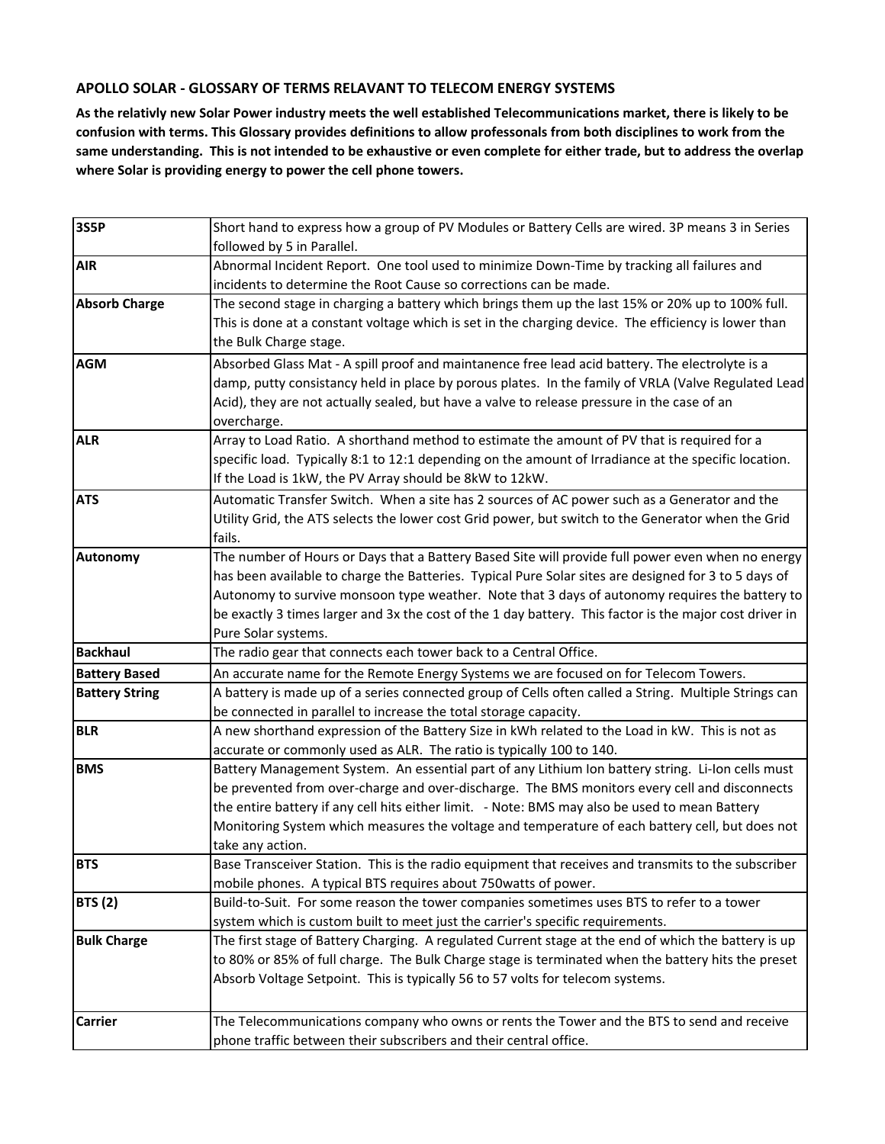## **APOLLO SOLAR - GLOSSARY OF TERMS RELAVANT TO TELECOM ENERGY SYSTEMS**

**As the relativly new Solar Power industry meets the well established Telecommunications market, there is likely to be confusion with terms. This Glossary provides definitions to allow professonals from both disciplines to work from the same understanding. This is not intended to be exhaustive or even complete for either trade, but to address the overlap where Solar is providing energy to power the cell phone towers.**

| <b>3S5P</b>           | Short hand to express how a group of PV Modules or Battery Cells are wired. 3P means 3 in Series        |
|-----------------------|---------------------------------------------------------------------------------------------------------|
|                       | followed by 5 in Parallel.                                                                              |
| <b>AIR</b>            | Abnormal Incident Report. One tool used to minimize Down-Time by tracking all failures and              |
|                       | incidents to determine the Root Cause so corrections can be made.                                       |
| <b>Absorb Charge</b>  | The second stage in charging a battery which brings them up the last 15% or 20% up to 100% full.        |
|                       | This is done at a constant voltage which is set in the charging device. The efficiency is lower than    |
|                       | the Bulk Charge stage.                                                                                  |
| <b>AGM</b>            | Absorbed Glass Mat - A spill proof and maintanence free lead acid battery. The electrolyte is a         |
|                       | damp, putty consistancy held in place by porous plates. In the family of VRLA (Valve Regulated Lead)    |
|                       | Acid), they are not actually sealed, but have a valve to release pressure in the case of an             |
|                       | overcharge.                                                                                             |
| <b>ALR</b>            | Array to Load Ratio. A shorthand method to estimate the amount of PV that is required for a             |
|                       | specific load. Typically 8:1 to 12:1 depending on the amount of Irradiance at the specific location.    |
|                       | If the Load is 1kW, the PV Array should be 8kW to 12kW.                                                 |
| <b>ATS</b>            | Automatic Transfer Switch. When a site has 2 sources of AC power such as a Generator and the            |
|                       | Utility Grid, the ATS selects the lower cost Grid power, but switch to the Generator when the Grid      |
|                       | fails.                                                                                                  |
| <b>Autonomy</b>       | The number of Hours or Days that a Battery Based Site will provide full power even when no energy       |
|                       | has been available to charge the Batteries. Typical Pure Solar sites are designed for 3 to 5 days of    |
|                       | Autonomy to survive monsoon type weather. Note that 3 days of autonomy requires the battery to          |
|                       | be exactly 3 times larger and 3x the cost of the 1 day battery. This factor is the major cost driver in |
|                       | Pure Solar systems.                                                                                     |
| <b>Backhaul</b>       | The radio gear that connects each tower back to a Central Office.                                       |
| <b>Battery Based</b>  | An accurate name for the Remote Energy Systems we are focused on for Telecom Towers.                    |
| <b>Battery String</b> | A battery is made up of a series connected group of Cells often called a String. Multiple Strings can   |
|                       | be connected in parallel to increase the total storage capacity.                                        |
| <b>BLR</b>            | A new shorthand expression of the Battery Size in kWh related to the Load in kW. This is not as         |
|                       | accurate or commonly used as ALR. The ratio is typically 100 to 140.                                    |
| <b>BMS</b>            | Battery Management System. An essential part of any Lithium Ion battery string. Li-Ion cells must       |
|                       | be prevented from over-charge and over-discharge. The BMS monitors every cell and disconnects           |
|                       | the entire battery if any cell hits either limit. - Note: BMS may also be used to mean Battery          |
|                       | Monitoring System which measures the voltage and temperature of each battery cell, but does not         |
|                       | take any action.                                                                                        |
| <b>BTS</b>            | Base Transceiver Station. This is the radio equipment that receives and transmits to the subscriber     |
|                       | mobile phones. A typical BTS requires about 750 watts of power.                                         |
| <b>BTS (2)</b>        | Build-to-Suit. For some reason the tower companies sometimes uses BTS to refer to a tower               |
|                       | system which is custom built to meet just the carrier's specific requirements.                          |
| <b>Bulk Charge</b>    | The first stage of Battery Charging. A regulated Current stage at the end of which the battery is up    |
|                       | to 80% or 85% of full charge. The Bulk Charge stage is terminated when the battery hits the preset      |
|                       | Absorb Voltage Setpoint. This is typically 56 to 57 volts for telecom systems.                          |
|                       |                                                                                                         |
| <b>Carrier</b>        | The Telecommunications company who owns or rents the Tower and the BTS to send and receive              |
|                       | phone traffic between their subscribers and their central office.                                       |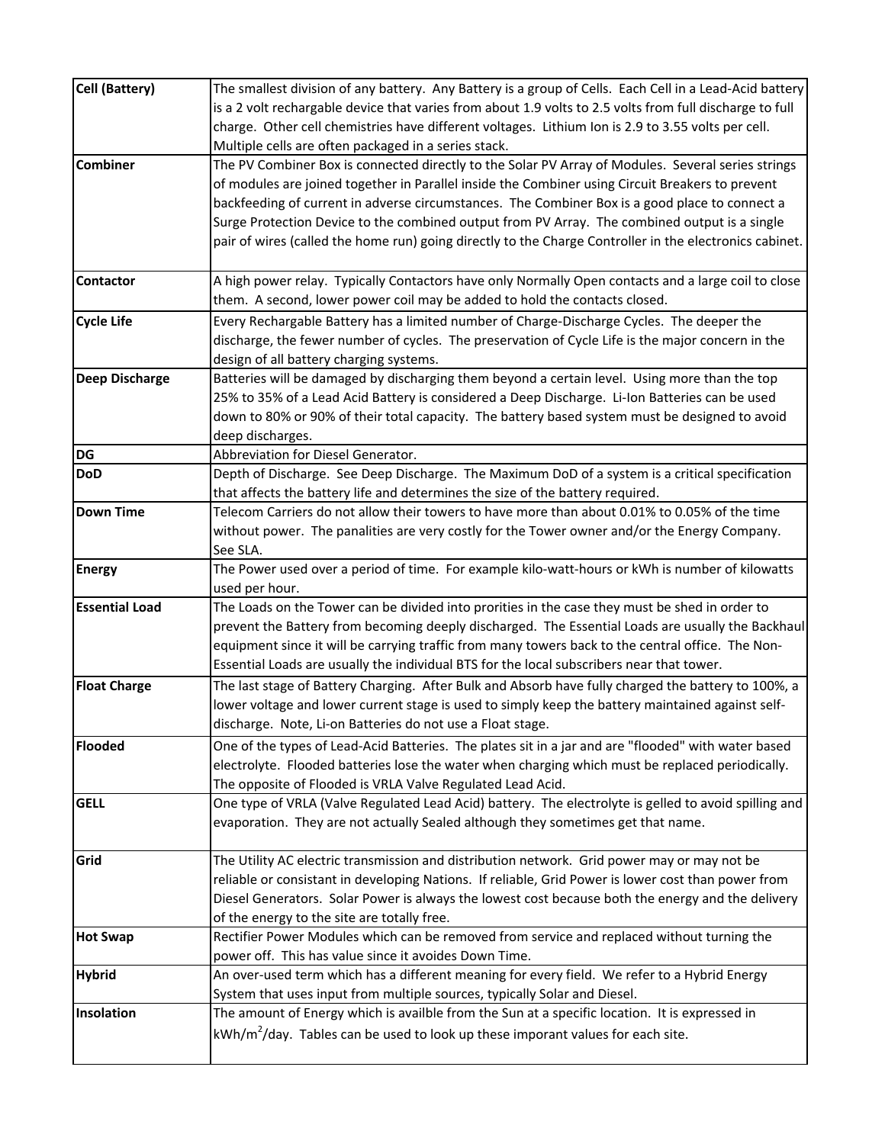| <b>Cell (Battery)</b> | The smallest division of any battery. Any Battery is a group of Cells. Each Cell in a Lead-Acid battery                                                                                                |
|-----------------------|--------------------------------------------------------------------------------------------------------------------------------------------------------------------------------------------------------|
|                       | is a 2 volt rechargable device that varies from about 1.9 volts to 2.5 volts from full discharge to full                                                                                               |
|                       | charge. Other cell chemistries have different voltages. Lithium Ion is 2.9 to 3.55 volts per cell.                                                                                                     |
| <b>Combiner</b>       | Multiple cells are often packaged in a series stack.                                                                                                                                                   |
|                       | The PV Combiner Box is connected directly to the Solar PV Array of Modules. Several series strings<br>of modules are joined together in Parallel inside the Combiner using Circuit Breakers to prevent |
|                       | backfeeding of current in adverse circumstances. The Combiner Box is a good place to connect a                                                                                                         |
|                       | Surge Protection Device to the combined output from PV Array. The combined output is a single                                                                                                          |
|                       | pair of wires (called the home run) going directly to the Charge Controller in the electronics cabinet.                                                                                                |
|                       |                                                                                                                                                                                                        |
| <b>Contactor</b>      | A high power relay. Typically Contactors have only Normally Open contacts and a large coil to close                                                                                                    |
|                       | them. A second, lower power coil may be added to hold the contacts closed.                                                                                                                             |
| <b>Cycle Life</b>     | Every Rechargable Battery has a limited number of Charge-Discharge Cycles. The deeper the                                                                                                              |
|                       | discharge, the fewer number of cycles. The preservation of Cycle Life is the major concern in the                                                                                                      |
|                       | design of all battery charging systems.                                                                                                                                                                |
| <b>Deep Discharge</b> | Batteries will be damaged by discharging them beyond a certain level. Using more than the top                                                                                                          |
|                       | 25% to 35% of a Lead Acid Battery is considered a Deep Discharge. Li-Ion Batteries can be used                                                                                                         |
|                       | down to 80% or 90% of their total capacity. The battery based system must be designed to avoid                                                                                                         |
|                       | deep discharges.                                                                                                                                                                                       |
| DG                    | Abbreviation for Diesel Generator.                                                                                                                                                                     |
| <b>DoD</b>            | Depth of Discharge. See Deep Discharge. The Maximum DoD of a system is a critical specification                                                                                                        |
|                       | that affects the battery life and determines the size of the battery required.                                                                                                                         |
| <b>Down Time</b>      | Telecom Carriers do not allow their towers to have more than about 0.01% to 0.05% of the time                                                                                                          |
|                       | without power. The panalities are very costly for the Tower owner and/or the Energy Company.                                                                                                           |
|                       | See SLA.                                                                                                                                                                                               |
| <b>Energy</b>         | The Power used over a period of time. For example kilo-watt-hours or kWh is number of kilowatts                                                                                                        |
|                       | used per hour.                                                                                                                                                                                         |
| <b>Essential Load</b> | The Loads on the Tower can be divided into prorities in the case they must be shed in order to                                                                                                         |
|                       | prevent the Battery from becoming deeply discharged. The Essential Loads are usually the Backhaul                                                                                                      |
|                       | equipment since it will be carrying traffic from many towers back to the central office. The Non-                                                                                                      |
|                       | Essential Loads are usually the individual BTS for the local subscribers near that tower.                                                                                                              |
| <b>Float Charge</b>   | The last stage of Battery Charging. After Bulk and Absorb have fully charged the battery to 100%, a                                                                                                    |
|                       | lower voltage and lower current stage is used to simply keep the battery maintained against self-                                                                                                      |
|                       | discharge. Note, Li-on Batteries do not use a Float stage.                                                                                                                                             |
| <b>Flooded</b>        | One of the types of Lead-Acid Batteries. The plates sit in a jar and are "flooded" with water based                                                                                                    |
|                       | electrolyte. Flooded batteries lose the water when charging which must be replaced periodically.                                                                                                       |
|                       | The opposite of Flooded is VRLA Valve Regulated Lead Acid.                                                                                                                                             |
| <b>GELL</b>           | One type of VRLA (Valve Regulated Lead Acid) battery. The electrolyte is gelled to avoid spilling and                                                                                                  |
|                       | evaporation. They are not actually Sealed although they sometimes get that name.                                                                                                                       |
| Grid                  | The Utility AC electric transmission and distribution network. Grid power may or may not be                                                                                                            |
|                       | reliable or consistant in developing Nations. If reliable, Grid Power is lower cost than power from                                                                                                    |
|                       | Diesel Generators. Solar Power is always the lowest cost because both the energy and the delivery                                                                                                      |
|                       | of the energy to the site are totally free.                                                                                                                                                            |
| <b>Hot Swap</b>       | Rectifier Power Modules which can be removed from service and replaced without turning the                                                                                                             |
|                       | power off. This has value since it avoides Down Time.                                                                                                                                                  |
| <b>Hybrid</b>         | An over-used term which has a different meaning for every field. We refer to a Hybrid Energy                                                                                                           |
|                       | System that uses input from multiple sources, typically Solar and Diesel.                                                                                                                              |
| Insolation            | The amount of Energy which is availble from the Sun at a specific location. It is expressed in                                                                                                         |
|                       | kWh/m <sup>2</sup> /day. Tables can be used to look up these imporant values for each site.                                                                                                            |
|                       |                                                                                                                                                                                                        |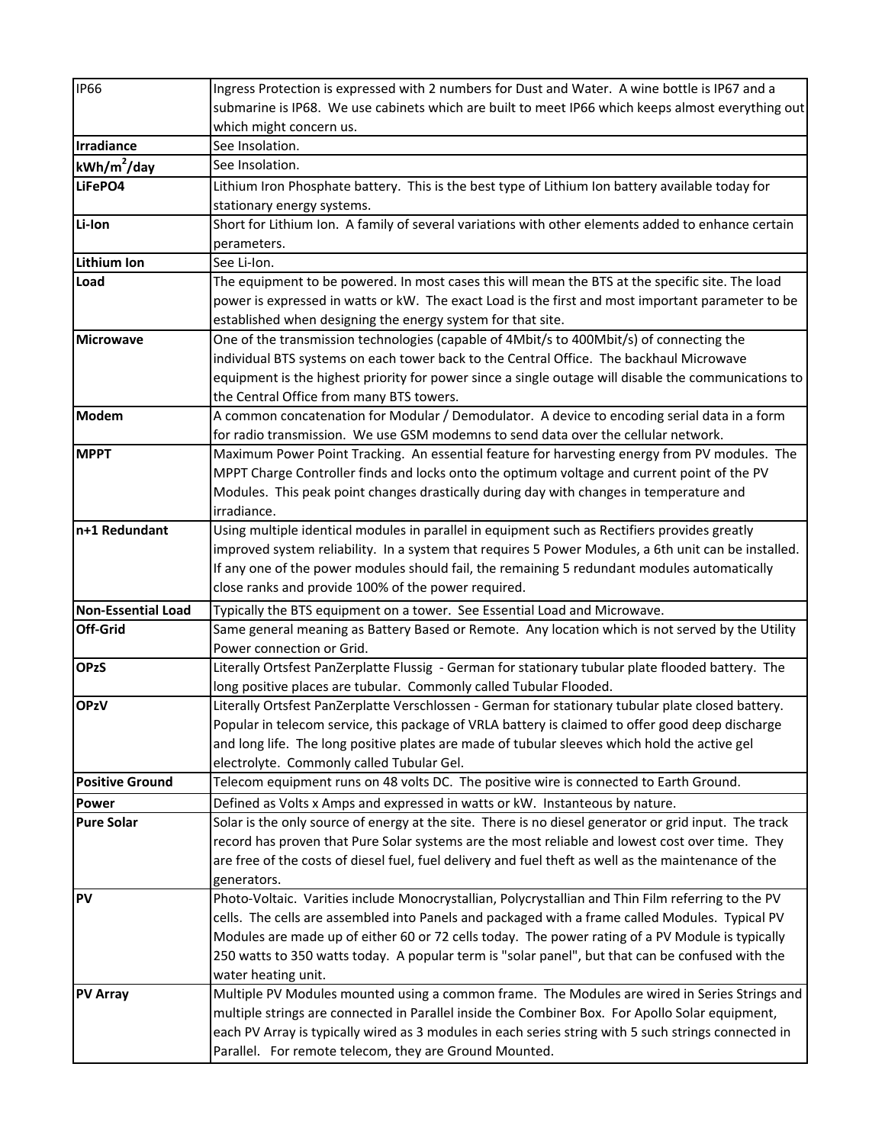| <b>IP66</b>               | Ingress Protection is expressed with 2 numbers for Dust and Water. A wine bottle is IP67 and a        |
|---------------------------|-------------------------------------------------------------------------------------------------------|
|                           | submarine is IP68. We use cabinets which are built to meet IP66 which keeps almost everything out     |
|                           | which might concern us.                                                                               |
| Irradiance                | See Insolation.                                                                                       |
| $kWh/m^2$ /day            | See Insolation.                                                                                       |
| LiFePO4                   | Lithium Iron Phosphate battery. This is the best type of Lithium Ion battery available today for      |
|                           | stationary energy systems.                                                                            |
| Li-Ion                    | Short for Lithium Ion. A family of several variations with other elements added to enhance certain    |
|                           | perameters.                                                                                           |
| <b>Lithium Ion</b>        | See Li-Ion.                                                                                           |
| Load                      | The equipment to be powered. In most cases this will mean the BTS at the specific site. The load      |
|                           | power is expressed in watts or kW. The exact Load is the first and most important parameter to be     |
|                           | established when designing the energy system for that site.                                           |
| <b>Microwave</b>          | One of the transmission technologies (capable of 4Mbit/s to 400Mbit/s) of connecting the              |
|                           | individual BTS systems on each tower back to the Central Office. The backhaul Microwave               |
|                           | equipment is the highest priority for power since a single outage will disable the communications to  |
|                           | the Central Office from many BTS towers.                                                              |
| Modem                     | A common concatenation for Modular / Demodulator. A device to encoding serial data in a form          |
|                           | for radio transmission. We use GSM modemns to send data over the cellular network.                    |
| <b>MPPT</b>               | Maximum Power Point Tracking. An essential feature for harvesting energy from PV modules. The         |
|                           | MPPT Charge Controller finds and locks onto the optimum voltage and current point of the PV           |
|                           | Modules. This peak point changes drastically during day with changes in temperature and               |
|                           | irradiance.                                                                                           |
| n+1 Redundant             | Using multiple identical modules in parallel in equipment such as Rectifiers provides greatly         |
|                           | improved system reliability. In a system that requires 5 Power Modules, a 6th unit can be installed.  |
|                           | If any one of the power modules should fail, the remaining 5 redundant modules automatically          |
|                           | close ranks and provide 100% of the power required.                                                   |
| <b>Non-Essential Load</b> | Typically the BTS equipment on a tower. See Essential Load and Microwave.                             |
| <b>Off-Grid</b>           | Same general meaning as Battery Based or Remote. Any location which is not served by the Utility      |
|                           | Power connection or Grid.                                                                             |
| <b>OPzS</b>               | Literally Ortsfest PanZerplatte Flussig - German for stationary tubular plate flooded battery. The    |
|                           | long positive places are tubular. Commonly called Tubular Flooded.                                    |
| <b>OPzV</b>               | Literally Ortsfest PanZerplatte Verschlossen - German for stationary tubular plate closed battery.    |
|                           | Popular in telecom service, this package of VRLA battery is claimed to offer good deep discharge      |
|                           | and long life. The long positive plates are made of tubular sleeves which hold the active gel         |
|                           | electrolyte. Commonly called Tubular Gel.                                                             |
| <b>Positive Ground</b>    | Telecom equipment runs on 48 volts DC. The positive wire is connected to Earth Ground.                |
| <b>Power</b>              | Defined as Volts x Amps and expressed in watts or kW. Instanteous by nature.                          |
| <b>Pure Solar</b>         | Solar is the only source of energy at the site. There is no diesel generator or grid input. The track |
|                           | record has proven that Pure Solar systems are the most reliable and lowest cost over time. They       |
|                           | are free of the costs of diesel fuel, fuel delivery and fuel theft as well as the maintenance of the  |
|                           | generators.                                                                                           |
| <b>PV</b>                 | Photo-Voltaic. Varities include Monocrystallian, Polycrystallian and Thin Film referring to the PV    |
|                           | cells. The cells are assembled into Panels and packaged with a frame called Modules. Typical PV       |
|                           | Modules are made up of either 60 or 72 cells today. The power rating of a PV Module is typically      |
|                           | 250 watts to 350 watts today. A popular term is "solar panel", but that can be confused with the      |
|                           | water heating unit.                                                                                   |
| <b>PV Array</b>           | Multiple PV Modules mounted using a common frame. The Modules are wired in Series Strings and         |
|                           | multiple strings are connected in Parallel inside the Combiner Box. For Apollo Solar equipment,       |
|                           | each PV Array is typically wired as 3 modules in each series string with 5 such strings connected in  |
|                           | Parallel. For remote telecom, they are Ground Mounted.                                                |